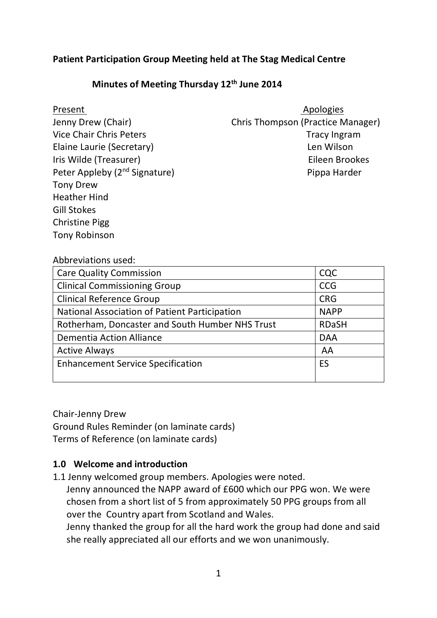# **Patient Participation Group Meeting held at The Stag Medical Centre**

#### **Minutes of Meeting Thursday 12th June 2014**

| Jenny Drew (Chair)                        |
|-------------------------------------------|
| <b>Vice Chair Chris Peters</b>            |
| Elaine Laurie (Secretary)                 |
| Iris Wilde (Treasurer)                    |
| Peter Appleby (2 <sup>nd</sup> Signature) |
| <b>Tony Drew</b>                          |
| <b>Heather Hind</b>                       |
| <b>Gill Stokes</b>                        |
| <b>Christine Pigg</b>                     |
| <b>Tony Robinson</b>                      |

Present Apologies Chris Thompson (Practice Manager) Tracy Ingram Len Wilson Eileen Brookes Pippa Harder

#### Abbreviations used:

| <b>Care Quality Commission</b>                  | CQC          |
|-------------------------------------------------|--------------|
| <b>Clinical Commissioning Group</b>             | <b>CCG</b>   |
| <b>Clinical Reference Group</b>                 | <b>CRG</b>   |
| National Association of Patient Participation   | <b>NAPP</b>  |
| Rotherham, Doncaster and South Humber NHS Trust | <b>RDaSH</b> |
| <b>Dementia Action Alliance</b>                 | <b>DAA</b>   |
| <b>Active Always</b>                            | AA           |
| <b>Enhancement Service Specification</b>        | ES           |
|                                                 |              |

Chair-Jenny Drew Ground Rules Reminder (on laminate cards) Terms of Reference (on laminate cards)

#### **1.0 Welcome and introduction**

1.1 Jenny welcomed group members. Apologies were noted.

 Jenny announced the NAPP award of £600 which our PPG won. We were chosen from a short list of 5 from approximately 50 PPG groups from all over the Country apart from Scotland and Wales.

 Jenny thanked the group for all the hard work the group had done and said she really appreciated all our efforts and we won unanimously.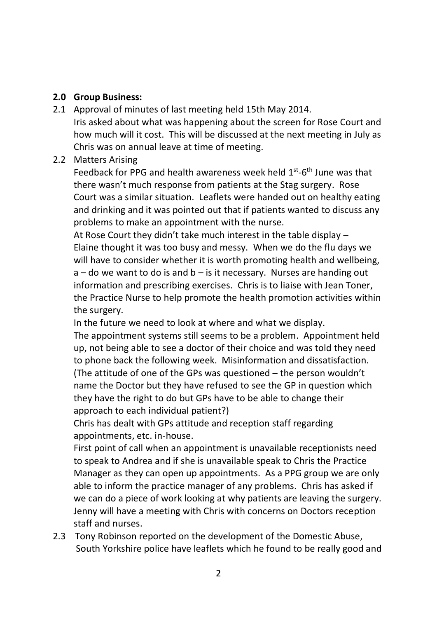#### **2.0 Group Business:**

2.1 Approval of minutes of last meeting held 15th May 2014. Iris asked about what was happening about the screen for Rose Court and how much will it cost. This will be discussed at the next meeting in July as Chris was on annual leave at time of meeting.

# 2.2 Matters Arising

Feedback for PPG and health awareness week held  $1<sup>st</sup>$ -6<sup>th</sup> June was that there wasn't much response from patients at the Stag surgery. Rose Court was a similar situation. Leaflets were handed out on healthy eating and drinking and it was pointed out that if patients wanted to discuss any problems to make an appointment with the nurse.

At Rose Court they didn't take much interest in the table display – Elaine thought it was too busy and messy. When we do the flu days we will have to consider whether it is worth promoting health and wellbeing,  $a$  – do we want to do is and  $b$  – is it necessary. Nurses are handing out information and prescribing exercises. Chris is to liaise with Jean Toner, the Practice Nurse to help promote the health promotion activities within the surgery.

In the future we need to look at where and what we display.

The appointment systems still seems to be a problem. Appointment held up, not being able to see a doctor of their choice and was told they need to phone back the following week. Misinformation and dissatisfaction. (The attitude of one of the GPs was questioned – the person wouldn't name the Doctor but they have refused to see the GP in question which they have the right to do but GPs have to be able to change their approach to each individual patient?)

Chris has dealt with GPs attitude and reception staff regarding appointments, etc. in-house.

First point of call when an appointment is unavailable receptionists need to speak to Andrea and if she is unavailable speak to Chris the Practice Manager as they can open up appointments. As a PPG group we are only able to inform the practice manager of any problems. Chris has asked if we can do a piece of work looking at why patients are leaving the surgery. Jenny will have a meeting with Chris with concerns on Doctors reception staff and nurses.

2.3 Tony Robinson reported on the development of the Domestic Abuse, South Yorkshire police have leaflets which he found to be really good and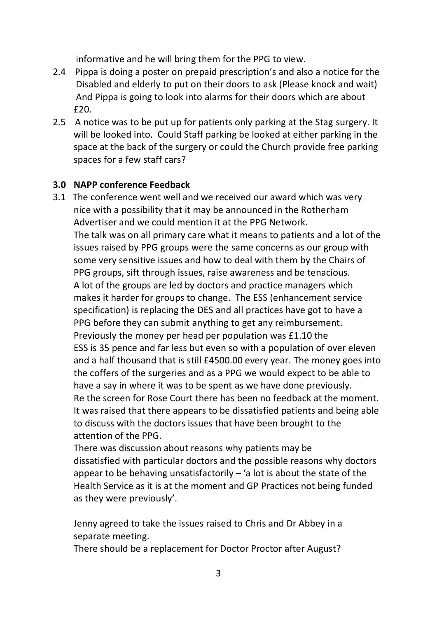informative and he will bring them for the PPG to view.

- 2.4 Pippa is doing a poster on prepaid prescription's and also a notice for the Disabled and elderly to put on their doors to ask (Please knock and wait) And Pippa is going to look into alarms for their doors which are about £20.
- 2.5 A notice was to be put up for patients only parking at the Stag surgery. It will be looked into. Could Staff parking be looked at either parking in the space at the back of the surgery or could the Church provide free parking spaces for a few staff cars?

# **3.0 NAPP conference Feedback**

3.1 The conference went well and we received our award which was very nice with a possibility that it may be announced in the Rotherham Advertiser and we could mention it at the PPG Network.

 The talk was on all primary care what it means to patients and a lot of the issues raised by PPG groups were the same concerns as our group with some very sensitive issues and how to deal with them by the Chairs of PPG groups, sift through issues, raise awareness and be tenacious. A lot of the groups are led by doctors and practice managers which makes it harder for groups to change. The ESS (enhancement service specification) is replacing the DES and all practices have got to have a PPG before they can submit anything to get any reimbursement. Previously the money per head per population was £1.10 the ESS is 35 pence and far less but even so with a population of over eleven and a half thousand that is still £4500.00 every year. The money goes into the coffers of the surgeries and as a PPG we would expect to be able to have a say in where it was to be spent as we have done previously. Re the screen for Rose Court there has been no feedback at the moment. It was raised that there appears to be dissatisfied patients and being able to discuss with the doctors issues that have been brought to the attention of the PPG.

 There was discussion about reasons why patients may be dissatisfied with particular doctors and the possible reasons why doctors appear to be behaving unsatisfactorily  $-$  'a lot is about the state of the Health Service as it is at the moment and GP Practices not being funded as they were previously'.

 Jenny agreed to take the issues raised to Chris and Dr Abbey in a separate meeting.

There should be a replacement for Doctor Proctor after August?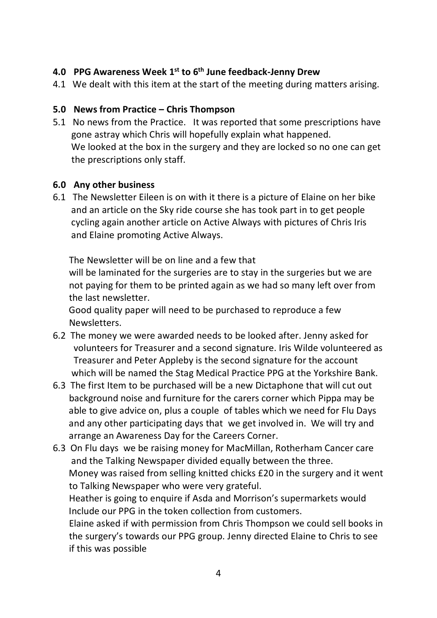# **4.0 PPG Awareness Week 1st to 6th June feedback-Jenny Drew**

4.1 We dealt with this item at the start of the meeting during matters arising.

#### **5.0 News from Practice – Chris Thompson**

5.1 No news from the Practice. It was reported that some prescriptions have gone astray which Chris will hopefully explain what happened. We looked at the box in the surgery and they are locked so no one can get the prescriptions only staff.

# **6.0 Any other business**

6.1 The Newsletter Eileen is on with it there is a picture of Elaine on her bike and an article on the Sky ride course she has took part in to get people cycling again another article on Active Always with pictures of Chris Iris and Elaine promoting Active Always.

The Newsletter will be on line and a few that

 will be laminated for the surgeries are to stay in the surgeries but we are not paying for them to be printed again as we had so many left over from the last newsletter.

 Good quality paper will need to be purchased to reproduce a few Newsletters.

- 6.2 The money we were awarded needs to be looked after. Jenny asked for volunteers for Treasurer and a second signature. Iris Wilde volunteered as Treasurer and Peter Appleby is the second signature for the account which will be named the Stag Medical Practice PPG at the Yorkshire Bank.
- 6.3 The first Item to be purchased will be a new Dictaphone that will cut out background noise and furniture for the carers corner which Pippa may be able to give advice on, plus a couple of tables which we need for Flu Days and any other participating days that we get involved in. We will try and arrange an Awareness Day for the Careers Corner.
- 6.3 On Flu days we be raising money for MacMillan, Rotherham Cancer care and the Talking Newspaper divided equally between the three. Money was raised from selling knitted chicks £20 in the surgery and it went to Talking Newspaper who were very grateful.

 Heather is going to enquire if Asda and Morrison's supermarkets would Include our PPG in the token collection from customers.

 Elaine asked if with permission from Chris Thompson we could sell books in the surgery's towards our PPG group. Jenny directed Elaine to Chris to see if this was possible